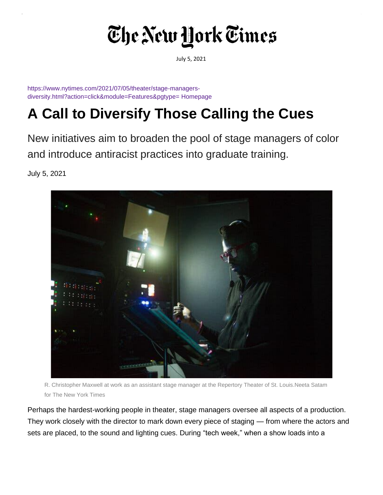## The New York Times

July 5, 2021

[https://www.nytimes.com/2021/07/05/theater/stage-managers](https://www.nytimes.com/2021/07/05/theater/stage-managers-diversity.html?action=click&module=Features&pgtype=Homepage)[diversity.html?action=click&module=Features&pgtype=](https://www.nytimes.com/2021/07/05/theater/stage-managers-diversity.html?action=click&module=Features&pgtype=Homepage) [Homepage](https://www.nytimes.com/2021/07/05/theater/stage-managers-diversity.html?action=click&module=Features&pgtype=Homepage)

## **A Call to Diversify Those Calling the Cues**

New initiatives aim to broaden the pool of stage managers of color and introduce antiracist practices into graduate training.

July 5, 2021



R. Christopher Maxwell at work as an assistant stage manager at the Repertory Theater of St. Louis.Neeta Satam for The New York Times

Perhaps the hardest-working people in theater, stage managers oversee all aspects of a production. They work closely with the director to mark down every piece of staging — from where the actors and sets are placed, to the sound and lighting cues. During "tech week," when a show loads into a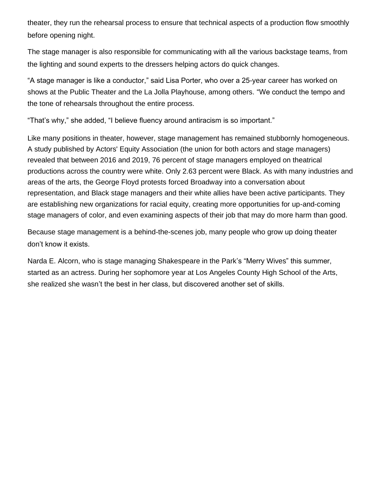theater, they run the rehearsal process to ensure that technical aspects of a production flow smoothly before opening night.

The stage manager is also responsible for communicating with all the various backstage teams, from the lighting and sound experts to the dressers helping actors do quick changes.

"A stage manager is like a conductor," said Lisa Porter, who over a 25-year career has worked on shows at the Public Theater and the La Jolla Playhouse, among others. "We conduct the tempo and the tone of rehearsals throughout the entire process.

"That's why," she added, "I believe fluency around antiracism is so important."

Like many positions in theater, however, stage management has remained stubbornly homogeneous. A study published by Actors' Equity Association (the union for both actors and stage managers) revealed that between 2016 and 2019, 76 percent of stage managers employed on theatrical productions across the country were white. Only 2.63 percent were Black. As with many industries and areas of the arts, the George Floyd protests forced Broadway into a conversation about representation, and Black stage managers and their white allies have been active participants. They are establishing new organizations for racial equity, creating more opportunities for up-and-coming stage managers of color, and even examining aspects of their job that may do more harm than good.

Because stage management is a behind-the-scenes job, many people who grow up doing theater don't know it exists.

Narda E. Alcorn, who is stage managing Shakespeare in the Park's "Merry Wives" this summer, started as an actress. During her sophomore year at Los Angeles County High School of the Arts, she realized she wasn't the best in her class, but discovered another set of skills.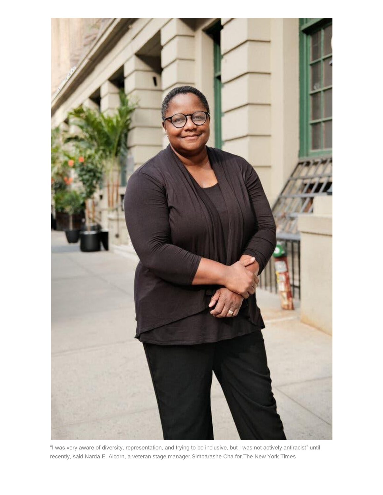

"I was very aware of diversity, representation, and trying to be inclusive, but I was not actively antiracist" until recently, said Narda E. Alcorn, a veteran stage manager.Simbarashe Cha for The New York Times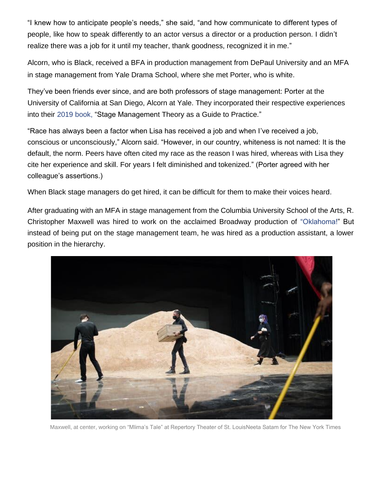"I knew how to anticipate people's needs," she said, "and how communicate to different types of people, like how to speak differently to an actor versus a director or a production person. I didn't realize there was a job for it until my teacher, thank goodness, recognized it in me."

Alcorn, who is Black, received a BFA in production management from DePaul University and an MFA in stage management from Yale Drama School, where she met Porter, who is white.

They've been friends ever since, and are both professors of stage management: Porter at the University of California at San Diego, Alcorn at Yale. They incorporated their respective experiences into their [2019 book,](https://www.theatreartlife.com/management/stage-management-theory-as-a-guide-to-practice/) "Stage Management Theory as a Guide to Practice."

"Race has always been a factor when Lisa has received a job and when I've received a job, conscious or unconsciously," Alcorn said. "However, in our country, whiteness is not named: It is the default, the norm. Peers have often cited my race as the reason I was hired, whereas with Lisa they cite her experience and skill. For years I felt diminished and tokenized." (Porter agreed with her colleague's assertions.)

When Black stage managers do get hired, it can be difficult for them to make their voices heard.

After graduating with an MFA in stage management from the Columbia University School of the Arts, R. Christopher Maxwell was hired to work on the acclaimed Broadway production of ["Oklahoma!"](https://www.nytimes.com/2018/10/07/theater/oklahoma-review.html?action=click&module=RelatedLinks&pgtype=Article) But instead of being put on the stage management team, he was hired as a production assistant, a lower position in the hierarchy.



Maxwell, at center, working on "Mlima's Tale" at Repertory Theater of St. LouisNeeta Satam for The New York Times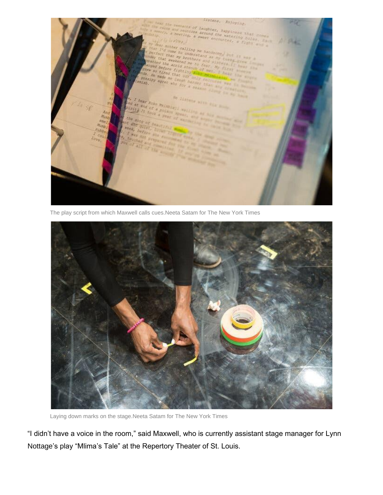

The play script from which Maxwell calls cues.Neeta Satam for The New York Times



Laying down marks on the stage.Neeta Satam for The New York Times

"I didn't have a voice in the room," said Maxwell, who is currently assistant stage manager for Lynn Nottage's play "Mlima's Tale" at the Repertory Theater of St. Louis.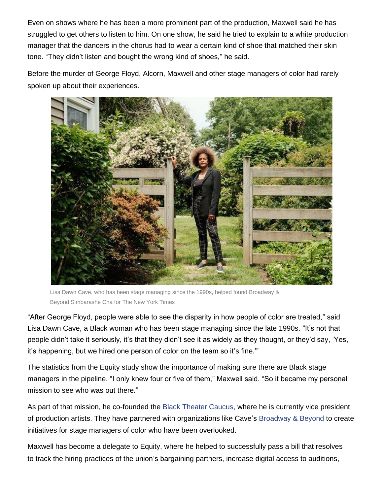Even on shows where he has been a more prominent part of the production, Maxwell said he has struggled to get others to listen to him. On one show, he said he tried to explain to a white production manager that the dancers in the chorus had to wear a certain kind of shoe that matched their skin tone. "They didn't listen and bought the wrong kind of shoes," he said.

Before the murder of George Floyd, Alcorn, Maxwell and other stage managers of color had rarely spoken up about their experiences.



Lisa Dawn Cave, who has been stage managing since the 1990s, helped found Broadway & Beyond.Simbarashe Cha for The New York Times

"After George Floyd, people were able to see the disparity in how people of color are treated," said Lisa Dawn Cave, a Black woman who has been stage managing since the late 1990s. "It's not that people didn't take it seriously, it's that they didn't see it as widely as they thought, or they'd say, 'Yes, it's happening, but we hired one person of color on the team so it's fine.'"

The statistics from the Equity study show the importance of making sure there are Black stage managers in the pipeline. "I only knew four or five of them," Maxwell said. "So it became my personal mission to see who was out there."

As part of that mission, he co-founded the [Black Theater Caucus,](https://www.blacktheatrecaucus.org/) where he is currently vice president of production artists. They have partnered with organizations like Cave's [Broadway & Beyond](https://www.broadwaybeyondaccess.com/) to create initiatives for stage managers of color who have been overlooked.

Maxwell has become a delegate to Equity, where he helped to successfully pass a bill that resolves to track the hiring practices of the union's bargaining partners, increase digital access to auditions,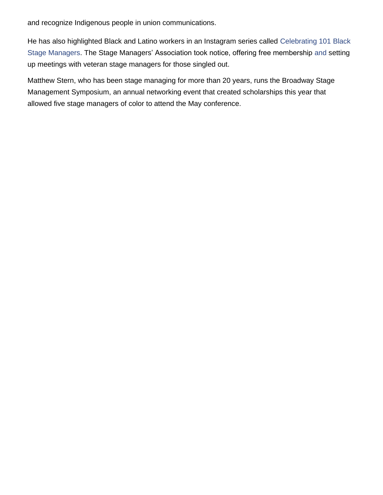and recognize Indigenous people in union communications.

[He has also highlighted Black and Latino workers in an Instagram series called](https://www.instagram.com/theblkstagemanager) Celebrating 101 [Black](https://www.instagram.com/theblkstagemanager)  [Stage Managers. The Stage Managers' Association took notice, offering free membership a](https://www.instagram.com/theblkstagemanager)nd setting up meetings with veteran stage managers for those singled out.

Matthew Stern, who has been stage managing for more than 20 years, runs the Broadway Stage Management Symposium, an annual networking event that created scholarships this year that allowed five stage managers of color to attend the May conference.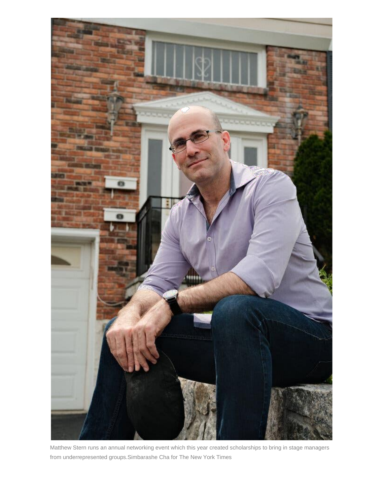

Matthew Stern runs an annual networking event which this year created scholarships to bring in stage managers from underrepresented groups.Simbarashe Cha for The New York Times